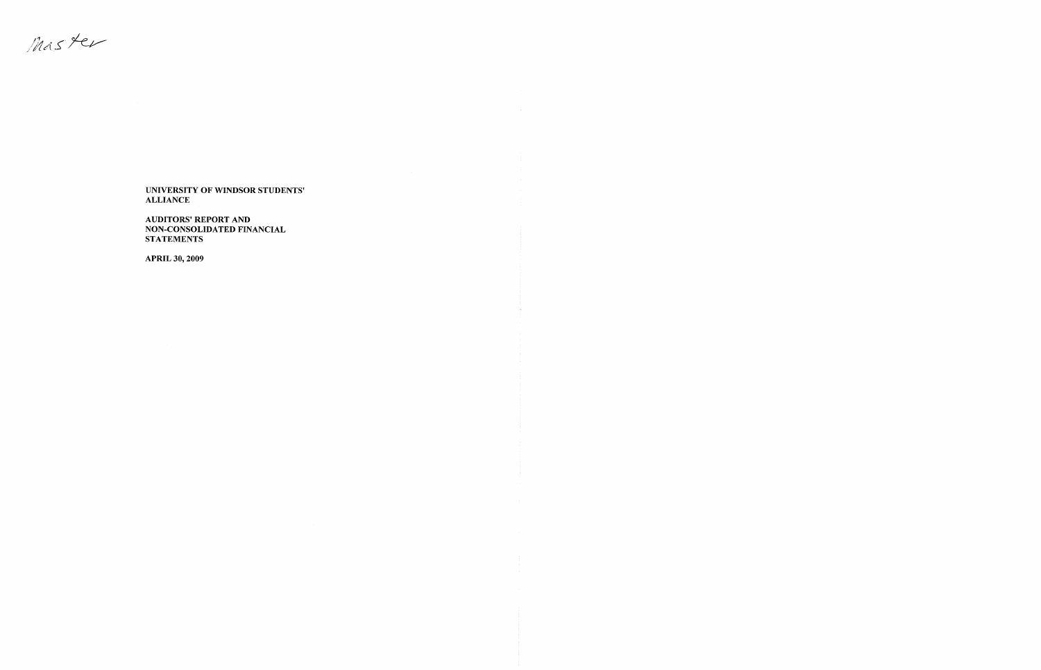Master

**AUDITORS' REPORT** AND NON-CONSOLIDATED FINANCIAL **STATEMENTS** 

APRIL 30, 2009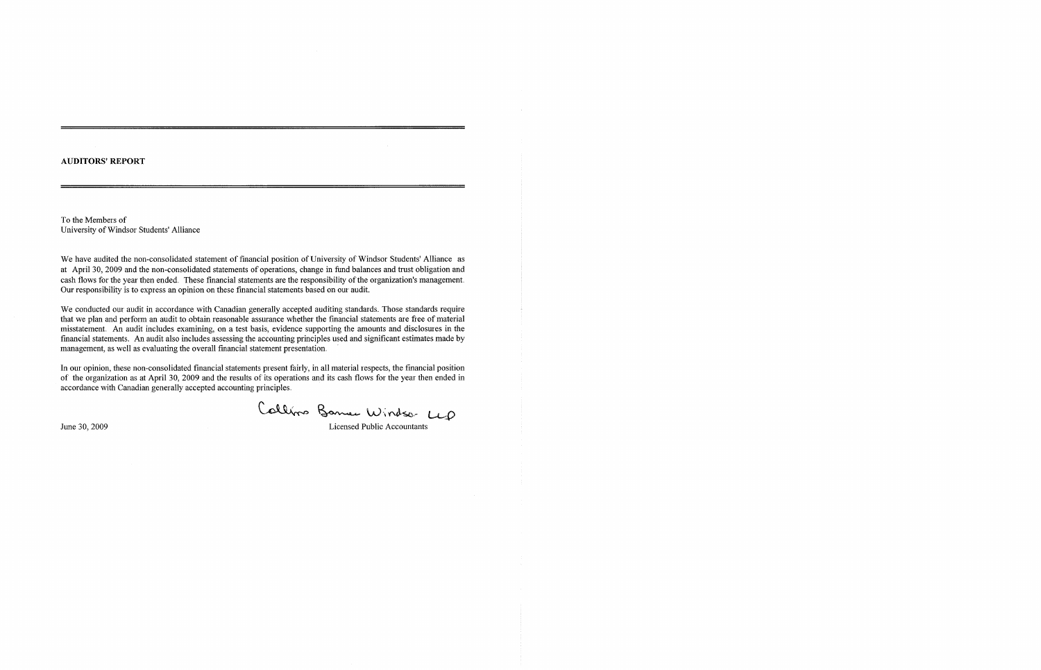### **AUDITORS' REPORT**

To the Members of University of Windsor Students' Alliance

We have audited the non-consolidated statement of financial position of University of Windsor Students' Alliance as at April 30, 2009 and the non-consolidated statements of operations, change in fund balances and trust obligation and cash flows for the year then ended. These financial statements are the responsibility of the organization's management. Our responsibility is to express an opinion on these financial statements based on our audit.

We conducted our audit in accordance with Canadian generally accepted auditing standards. Those standards require that we plan and perform an audit to obtain reasonable assurance whether the financial statements are free of material misstatement. An audit includes examining, on a test basis, evidence supporting the amounts and disclosures in the financial statements. An audit also includes assessing the accounting principles used and significant estimates made by management, as well as evaluating the overall financial statement presentation.

In our opinion, these non-consolidated financial statements present fairly, in all material respects, the financial position of the organization as at April 30, 2009 and the results of its operations and its cash flows for the year then ended in accordance with Canadian generally accepted accounting principles.

Callino Bance Windso LLD

June 30, 2009 Licensed Public Accountants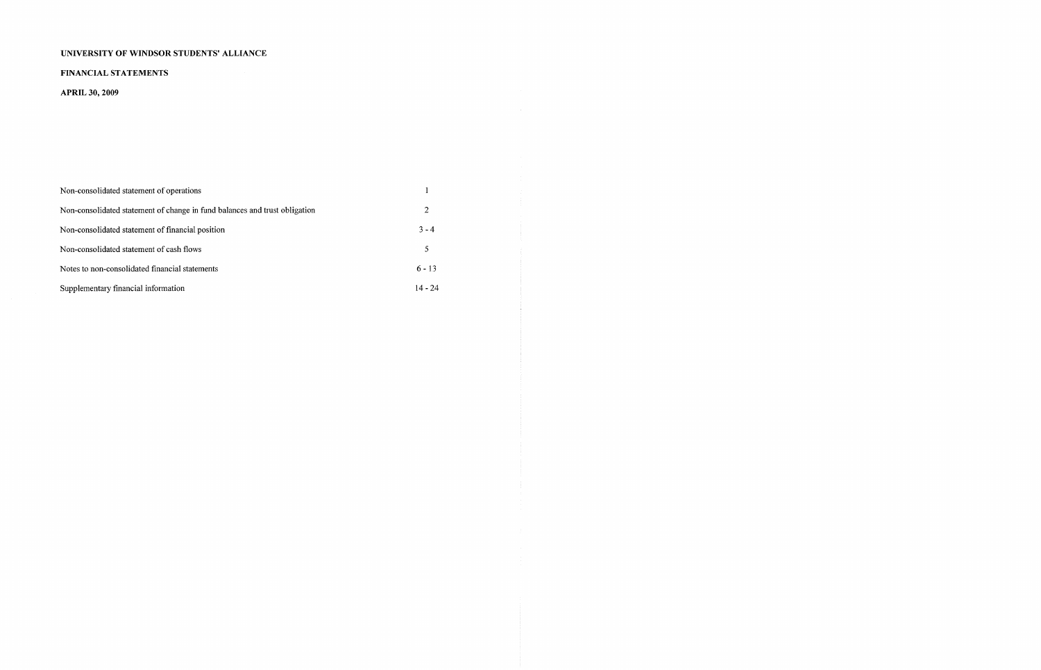### FINANCIAL STATEMENTS

### **APRIL 30, 2009**

| Non-consolidated statement of operations                                   |                |
|----------------------------------------------------------------------------|----------------|
| Non-consolidated statement of change in fund balances and trust obligation | $\overline{2}$ |
| Non-consolidated statement of financial position                           | $3 - 4$        |
| Non-consolidated statement of cash flows                                   | 5              |
| Notes to non-consolidated financial statements                             | $6 - 13$       |
| Supplementary financial information                                        | $14 - 24$      |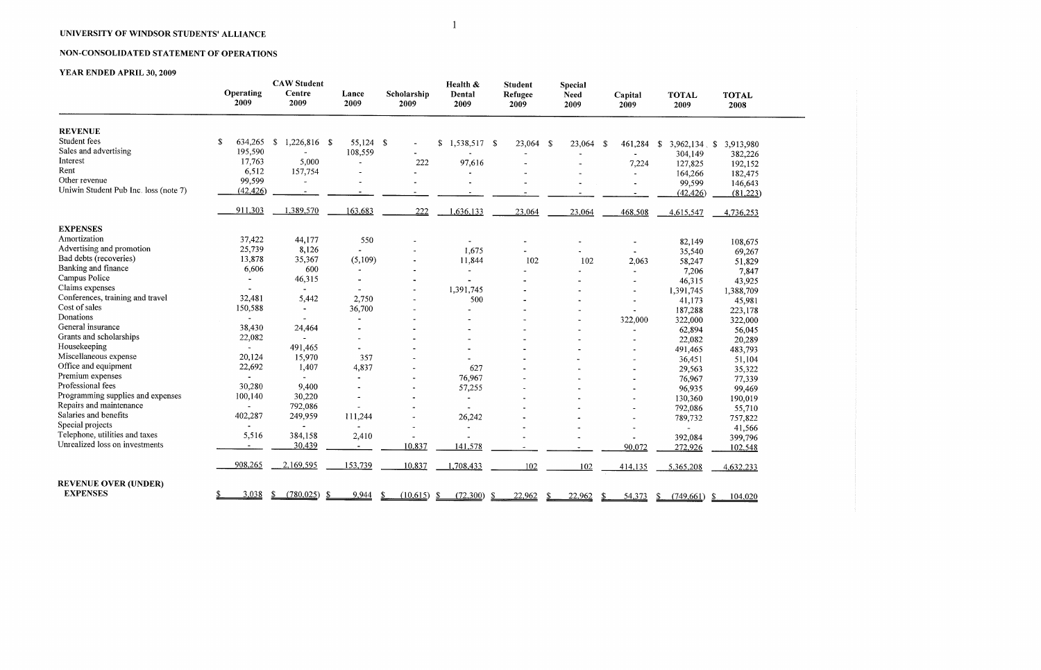## NON-CONSOLIDATED STATEMENT OF OPERATIONS

## **YEAR ENDED APRIL 30, 2009**

|                                       | Operating     | <b>CAW Student</b><br>Centre         |                | Lance<br>Scholarship      |                    | <b>Student</b><br>Refugee | Special<br>Need | Capital               | <b>TOTAL</b>             | <b>TOTAL</b>   |
|---------------------------------------|---------------|--------------------------------------|----------------|---------------------------|--------------------|---------------------------|-----------------|-----------------------|--------------------------|----------------|
|                                       | 2009          | 2009                                 | 2009           | 2009                      | Dental<br>2009     | 2009                      | 2009            | 2009                  | 2009                     | 2008           |
| <b>REVENUE</b>                        |               |                                      |                |                           |                    |                           |                 |                       |                          |                |
| Student fees                          | S.<br>634,265 | $\mathbf{\hat{s}}$<br>$1,226,816$ \$ | 55,124 \$      |                           | \$<br>1,538,517 \$ | 23,064 \$                 | 23,064          | -S<br>461,284         | $3,962,134$ , \$<br>- \$ | 3,913,980      |
| Sales and advertising                 | 195,590       |                                      | 108,559        |                           |                    |                           |                 |                       | 304,149                  | 382,226        |
| Interest                              | 17,763        | 5,000                                | $\sim$         | 222                       | 97,616             |                           |                 | 7,224                 | 127,825                  | 192,152        |
| Rent                                  | 6,512         | 157,754                              |                |                           |                    |                           |                 | $\blacksquare$        | 164,266                  | 182,475        |
| Other revenue                         | 99,599        |                                      |                |                           |                    |                           |                 | $\tilde{\phantom{a}}$ | 99,599                   | 146,643        |
| Uniwin Student Pub Inc. loss (note 7) | (42, 426)     |                                      |                |                           |                    |                           |                 |                       | (42, 426)                | (81,223)       |
|                                       | 911,303       | 1,389,570                            | 163,683        | 222                       | 1,636,133          | 23,064                    | 23,064          | 468,508               | 4,615,547                | 4,736,253      |
| <b>EXPENSES</b>                       |               |                                      |                |                           |                    |                           |                 |                       |                          |                |
| Amortization                          | 37,422        | 44,177                               | 550            |                           |                    |                           |                 |                       | 82,149                   | 108,675        |
| Advertising and promotion             | 25,739        | 8,126                                |                |                           | 1,675              |                           |                 | $\blacksquare$        | 35,540                   | 69,267         |
| Bad debts (recoveries)                | 13,878        | 35,367                               | (5,109)        |                           | 11,844             | 102                       | 102             | 2,063                 | 58,247                   | 51,829         |
| Banking and finance                   | 6,606         | 600                                  |                |                           |                    |                           |                 |                       | 7,206                    | 7,847          |
| Campus Police                         |               | 46,315                               | $\blacksquare$ |                           |                    |                           |                 |                       | 46,315                   | 43,925         |
| Claims expenses                       |               |                                      |                |                           | 1,391,745          |                           |                 |                       | 1,391,745                | 1,388,709      |
| Conferences, training and travel      | 32,481        | 5,442                                | 2,750          |                           | 500                |                           |                 |                       | 41,173                   | 45,981         |
| Cost of sales                         | 150,588       | $\blacksquare$                       | 36,700         |                           |                    |                           |                 |                       | 187,288                  | 223,178        |
| Donations                             |               | $\blacksquare$                       | $\blacksquare$ |                           |                    |                           |                 | 322,000               | 322,000                  | 322,000        |
| General insurance                     | 38,430        | 24,464                               |                |                           |                    |                           |                 | $\blacksquare$        | 62,894                   | 56,045         |
| Grants and scholarships               | 22,082        | $\overline{\phantom{a}}$             |                |                           |                    |                           |                 |                       | 22,082                   | 20,289         |
| Housekeeping                          |               | 491,465                              |                |                           |                    |                           |                 |                       | 491,465                  | 483,793        |
| Miscellaneous expense                 | 20,124        | 15,970                               | 357            |                           |                    |                           |                 |                       | 36,451                   | 51,104         |
| Office and equipment                  | 22,692        | 1,407                                | 4,837          |                           | 627                |                           |                 |                       | 29,563                   | 35,322         |
| Premium expenses                      |               |                                      | $\blacksquare$ |                           | 76,967             |                           |                 |                       | 76,967                   | 77,339         |
| Professional fees                     | 30,280        | 9,400                                | $\blacksquare$ |                           | 57,255             |                           |                 |                       | 96,935                   | 99,469         |
| Programming supplies and expenses     | 100,140       | 30,220                               |                |                           |                    |                           |                 |                       | 130,360                  | 190,019        |
| Repairs and maintenance               |               | 792,086                              |                |                           |                    |                           |                 |                       | 792,086                  | 55,710         |
| Salaries and benefits                 | 402,287       | 249,959                              | 111,244        |                           | 26,242             |                           |                 |                       | 789,732                  | 757,822        |
| Special projects                      |               |                                      |                |                           | $\sim$             |                           |                 |                       |                          | 41,566         |
| Telephone, utilities and taxes        | 5,516         | 384,158                              | 2,410          |                           |                    |                           |                 |                       | 392,084                  | 399,796        |
| Unrealized loss on investments        |               | 30,439                               | $\sim$         | 10,837                    | 141,578            |                           |                 | 90,072                | 272,926                  | 102,548        |
|                                       | 908,265       | 2,169,595                            | 153,739        | 10,837                    | 1,708,433          | 102                       | 102             | 414,135               | 5,365,208                | 4,632,233      |
| <b>REVENUE OVER (UNDER)</b>           |               |                                      |                |                           |                    |                           |                 |                       |                          |                |
| <b>EXPENSES</b>                       | 3,038<br>\$   | (780, 025)<br>S.<br>-S               | 9,944          | (10,615)<br><sup>\$</sup> | -\$<br>(72,300)    | 22,962<br>-S              | 22,962<br>\$    | \$<br>54,373          | (749,661)<br>-S          | -\$<br>104,020 |

 $\overline{1}$ 

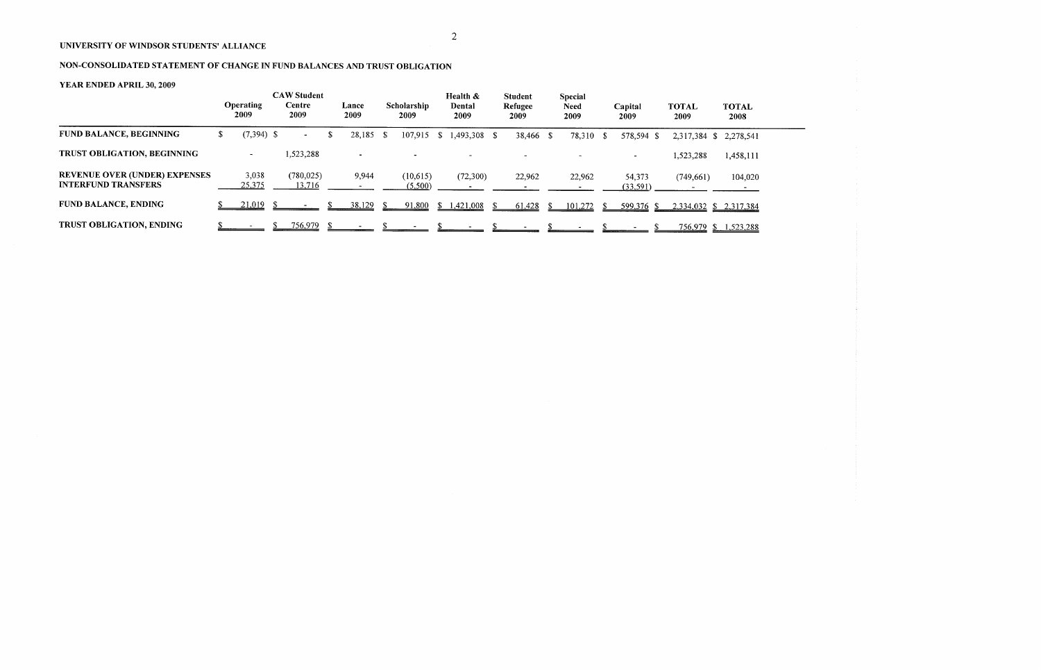# NON-CONSOLIDATED STATEMENT OF CHANGE IN FUND BALANCES AND TRUST OBLIGATION

|                                                                    | <b>Operating</b><br>2009 | <b>CAW Student</b><br>Centre<br>2009 |   | Lance<br>2009 |      | Scholarship<br>2009 |                | Health &<br>Dental<br>2009 | <b>Student</b><br>Refugee<br>2009 | Special<br><b>Need</b><br>2009 | Capital<br>2009    | <b>TOTAL</b><br>2009 | <b>TOTAL</b><br>2008   |
|--------------------------------------------------------------------|--------------------------|--------------------------------------|---|---------------|------|---------------------|----------------|----------------------------|-----------------------------------|--------------------------------|--------------------|----------------------|------------------------|
| <b>FUND BALANCE, BEGINNING</b>                                     | $(7,394)$ \$             | <b>Section</b>                       | S | 28,185        | - \$ | 107,915             | S <sub>1</sub> | $1,493,308$ \$             | 38,466 \$                         | 78,310 \$                      | 578,594 \$         | 2,317,384 \$         | 2,278,541              |
| TRUST OBLIGATION, BEGINNING                                        | $\blacksquare$           | 1,523,288                            |   |               |      |                     |                |                            |                                   |                                |                    | 1,523,288            | 1,458,111              |
| <b>REVENUE OVER (UNDER) EXPENSES</b><br><b>INTERFUND TRANSFERS</b> | 3,038<br>25,375          | (780, 025)<br>13,716                 |   | 9,944         |      | (10,615)<br>(5,500) |                | (72,300)                   | 22,962                            | 22,962                         | 54,373<br>(33,591) | (749, 661)           | 104,020                |
| <b>FUND BALANCE, ENDING</b>                                        | $21.019$ \$              |                                      |   | 38,129        |      | 91,800              | ъ              | 1,421,008                  | 61,428                            | 101,272                        | 599,376 \$         |                      | 2,334,032 \$ 2,317,384 |
| TRUST OBLIGATION, ENDING                                           |                          | <u>756,979</u>                       |   |               |      |                     |                |                            |                                   |                                |                    |                      | 756,979 \$ 1,523,288   |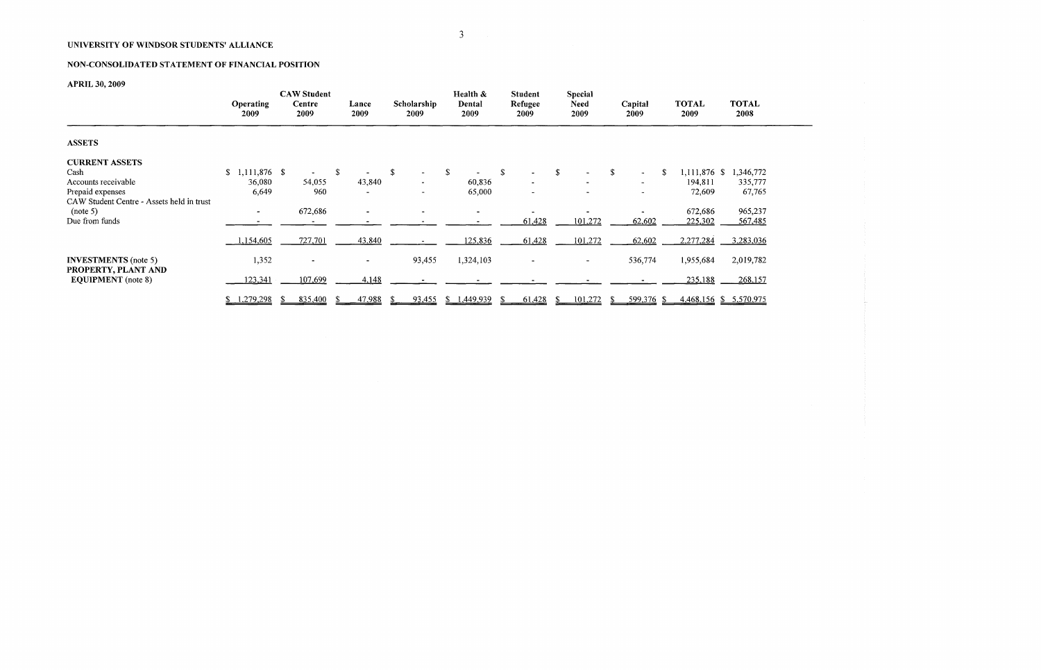## NON-CONSOLIDATED STATEMENT OF FINANCIAL POSITION

# **APRIL 30, 2009**

|                                                                          | <b>Operating</b><br>2009           | <b>CAW Student</b><br>Centre<br>2009 | Lance<br>2009 | Scholarship<br>2009 | Health &<br>Dental<br>2009 | <b>Student</b><br>Refugee<br>2009                | <b>Special</b><br><b>Need</b><br>2009 | Capital<br>2009                                           | <b>TOTAL</b><br>2009                    | <b>TOTAL</b><br>2008           |
|--------------------------------------------------------------------------|------------------------------------|--------------------------------------|---------------|---------------------|----------------------------|--------------------------------------------------|---------------------------------------|-----------------------------------------------------------|-----------------------------------------|--------------------------------|
| <b>ASSETS</b>                                                            |                                    |                                      |               |                     |                            |                                                  |                                       |                                                           |                                         |                                |
| <b>CURRENT ASSETS</b><br>Cash<br>Accounts receivable<br>Prepaid expenses | $$1,111,876$ \$<br>36,080<br>6,649 | 54,055<br>960                        | -S<br>43,840  | \$                  | \$<br>60,836<br>65,000     | S.<br>$\overline{\phantom{a}}$<br>$\blacksquare$ | S                                     | S<br>$\overline{\phantom{a}}$<br>$\overline{\phantom{a}}$ | 1,111,876 \$<br>S.<br>194,811<br>72,609 | 1,346,772<br>335,777<br>67,765 |
| CAW Student Centre - Assets held in trust<br>(note 5)<br>Due from funds  | $\sim$                             | 672,686                              |               |                     |                            | 61,428                                           | 101,272                               | 62,602                                                    | 672,686<br>225,302                      | 965,237<br>567,485             |
|                                                                          | 1,154,605                          | 727,701                              | 43,840        |                     | 125,836                    | 61,428                                           | 101,272                               | 62,602                                                    | 2,277,284                               | 3,283,036                      |
| <b>INVESTMENTS</b> (note 5)<br>PROPERTY, PLANT AND                       | 1,352                              |                                      |               | 93,455              | 1,324,103                  | $\blacksquare$                                   | $\sim$                                | 536,774                                                   | 1,955,684                               | 2,019,782                      |
| <b>EQUIPMENT</b> (note 8)                                                | 123,341                            | 107,699                              | 4,148         |                     |                            |                                                  |                                       |                                                           | 235,188                                 | 268,157                        |
|                                                                          | 1,279,298                          | 835,400                              | 47,988        | 93,455              | \$1,449,939                | 61,428                                           | 101,272                               | 599,376 \$                                                |                                         | 4,468,156 \$ 5,570,975         |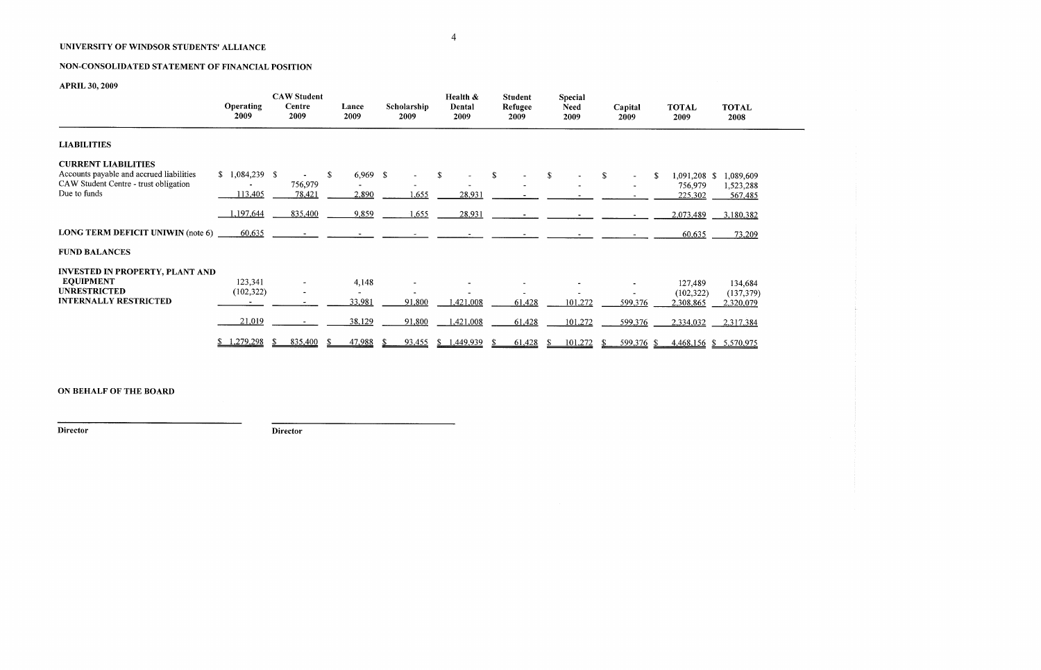# NON-CONSOLIDATED STATEMENT OF FINANCIAL POSITION

# **APRIL 30, 2009**

9)

|                                                                                                                                 | <b>Operating</b><br>2009      | <b>CAW Student</b><br>Centre<br>2009 | Lance<br>2009             | Scholarship<br>2009 | Health &<br>Dental<br>2009   | <b>Student</b><br>Refugee<br>2009 | <b>Special</b><br><b>Need</b><br>2009 | Capital<br>2009       | <b>TOTAL</b><br>2009                    | <b>TOTAL</b><br>2008               |
|---------------------------------------------------------------------------------------------------------------------------------|-------------------------------|--------------------------------------|---------------------------|---------------------|------------------------------|-----------------------------------|---------------------------------------|-----------------------|-----------------------------------------|------------------------------------|
| <b>LIABILITIES</b>                                                                                                              |                               |                                      |                           |                     |                              |                                   |                                       |                       |                                         |                                    |
| <b>CURRENT LIABILITIES</b><br>Accounts payable and accrued liabilities<br>CAW Student Centre - trust obligation<br>Due to funds | $$1,084,239$ \, \$<br>113,405 | 756,979<br>78,421                    | $6,969$ \$<br>S.<br>2,890 | 1,655               | $\mathbf{\hat{S}}$<br>28,931 | \$                                | \$                                    | $\mathbf S$<br>$\sim$ | 1,091,208 \$<br>S<br>756,979<br>225,302 | 1,089,609<br>1,523,288<br>567,485  |
|                                                                                                                                 | 1,197,644                     | 835,400                              | 9,859                     | 1,655               | 28,931                       |                                   |                                       |                       | 2,073,489                               | 3,180,382                          |
| <b>LONG TERM DEFICIT UNIWIN (note 6)</b>                                                                                        | 60,635                        |                                      |                           |                     |                              |                                   |                                       |                       | 60,635                                  | 73,209                             |
| <b>FUND BALANCES</b>                                                                                                            |                               |                                      |                           |                     |                              |                                   |                                       |                       |                                         |                                    |
| <b>INVESTED IN PROPERTY, PLANT AND</b><br><b>EQUIPMENT</b><br><b>UNRESTRICTED</b><br><b>INTERNALLY RESTRICTED</b>               | 123,341<br>(102, 322)         | $\overline{\phantom{a}}$             | 4,148<br>33,981           | 91,800              | 1,421,008                    | 61,428                            | 101,272                               | 599,376               | 127,489<br>(102, 322)<br>2,308,865      | 134,684<br>(137, 379)<br>2,320,079 |
|                                                                                                                                 | 21,019                        |                                      | 38,129                    | 91,800              | 1,421,008                    | 61,428                            | 101,272                               | 599,376               | 2,334,032                               | 2,317,384                          |
|                                                                                                                                 | \$1,279,298                   | 835,400                              | 47,988                    | 93,455              | 1,449,939                    | 61,428                            | 101,272                               | 599,376 \$            |                                         | 4,468,156 \$ 5,570,975             |

### **ON BEHALF OF THE BOARD**

**Director Director**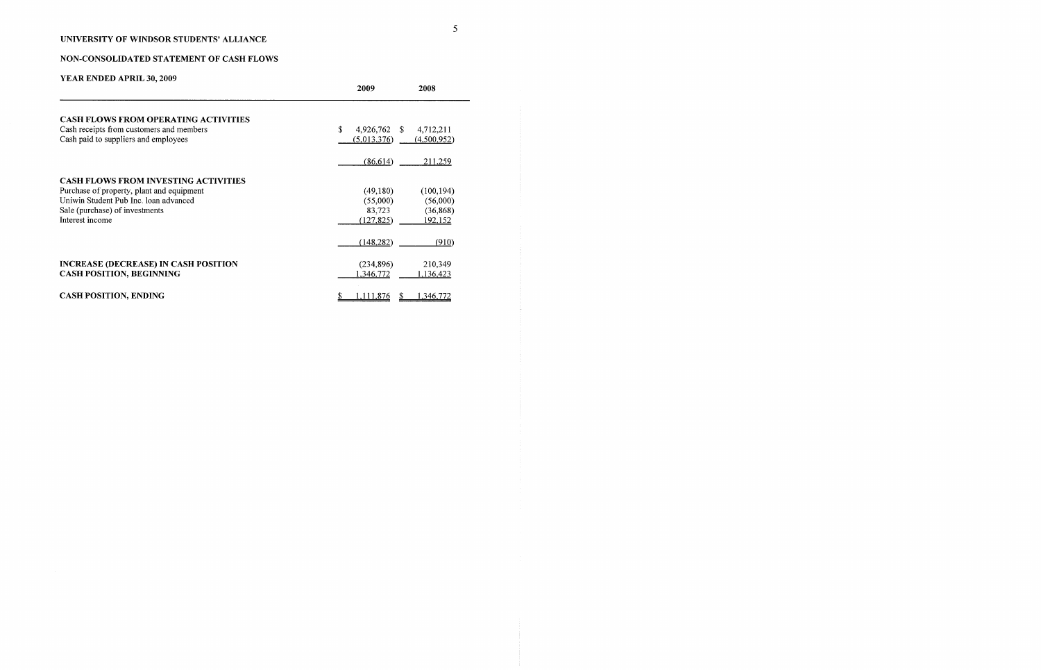# NON-CONSOLIDATED STATEMENT OF CASH FLOWS

|                                             | 2009                | 2008        |
|---------------------------------------------|---------------------|-------------|
| <b>CASH FLOWS FROM OPERATING ACTIVITIES</b> |                     |             |
| Cash receipts from customers and members    | \$.<br>4,926,762 \$ | 4,712,211   |
| Cash paid to suppliers and employees        | (5,013,376)         | (4,500,952) |
|                                             | (86, 614)           | 211,259     |
| <b>CASH FLOWS FROM INVESTING ACTIVITIES</b> |                     |             |
| Purchase of property, plant and equipment   | (49,180)            | (100, 194)  |
| Uniwin Student Pub Inc. loan advanced       | (55,000)            | (56,000)    |
| Sale (purchase) of investments              | 83,723              | (36, 868)   |
| Interest income                             | (127.825)           | 192,152     |
|                                             | (148, 282)          | (910)       |
| <b>INCREASE (DECREASE) IN CASH POSITION</b> | (234, 896)          | 210,349     |
| <b>CASH POSITION, BEGINNING</b>             | 1,346,772           | 1,136,423   |
| <b>CASH POSITION, ENDING</b>                | 1,111,876<br>S.     | 1,346,772   |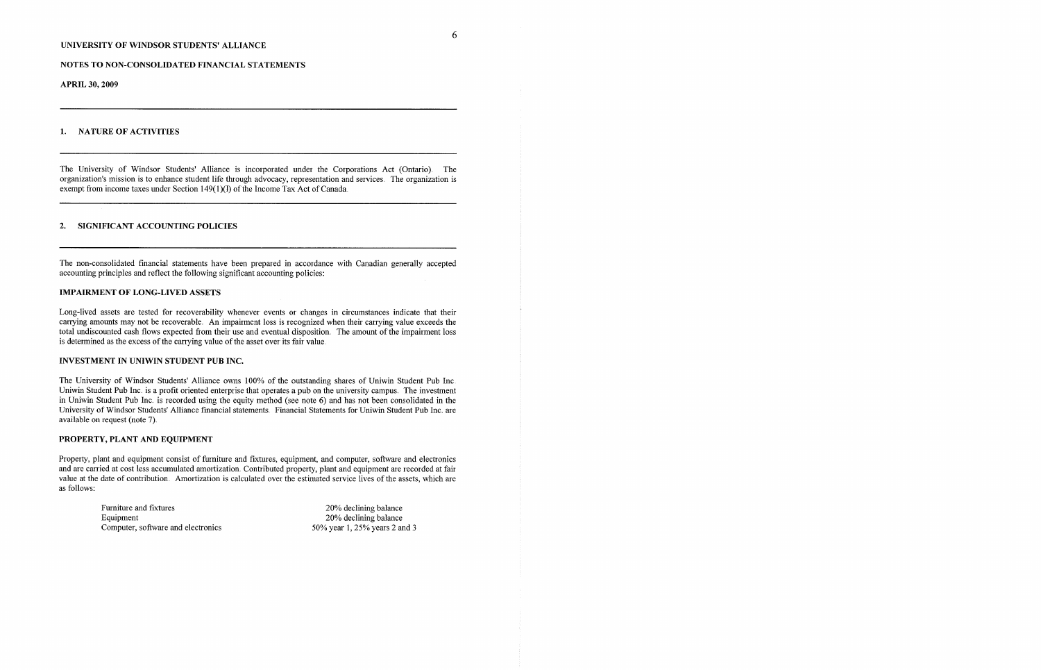#### NOTES TO NON-CONSOLIDATED FINANCIAL STATEMENTS

The University of Windsor Students' Alliance is incorporated under the Corporations Act (Ontario) The organization's mission is to enhance student life through advocacy, representation and services. The organization is exempt from income taxes under Section 149(1)(1) of the Income Tax Act of Canada.

**APRIL 30, 2009**

#### 1. NATURE OF ACTIVITIES

The non-consolidated financial statements have been prepared in accordance with Canadian generally accepted accounting principles and reflect the following significant accounting policies:

#### 2. SIGNIFICANT ACCOUNTING POLICIES

### **IMPAIRMENT OF LONG-LIVED ASSETS**

Long-lived assets are tested for recoverability whenever events or changes in circumstances indicate that their carrying amounts may not be recoverable. An impairment loss is recognized when their carrying value exceeds the total undiscounted cash flows expected from their use and eventual disposition. The amount of the impairment loss is determined as the excess of the carrying value of the asset over its fair value.

The University of Windsor Students' Alliance owns 100% of the outstanding shares of Uniwin Student Pub Inc. Uniwin Student Pub Inc. is a profit oriented enterprise that operates a pub on the university campus. The investment in Uniwin Student Pub Inc. is recorded using the equity method (see note 6) and has not been consolidated in the University of' Windsor Students' Alliance financial statements Financial Statements for Uniwin Student Pub Inc. are available on request (note 7).

> Furniture and fixtures Equipment Computer, software and electronics

### INVESTMENT IN UNIWIN STUDENT PUB INC.

#### **PROPERTY, PLANT AND EQUIPMENT**

Property, plant and equipment consist of furniture and fixtures, equipment, and computer, software and electronics and are carried at cost less accumulated amortization. Contributed property, plant and equipment are recorded at fair value at the date of contribution. Amortization is calculated over the estimated service lives of the assets, which are as follows:

> 20% declining balance 20% declining balance 50% year 1, 25% years 2 and 3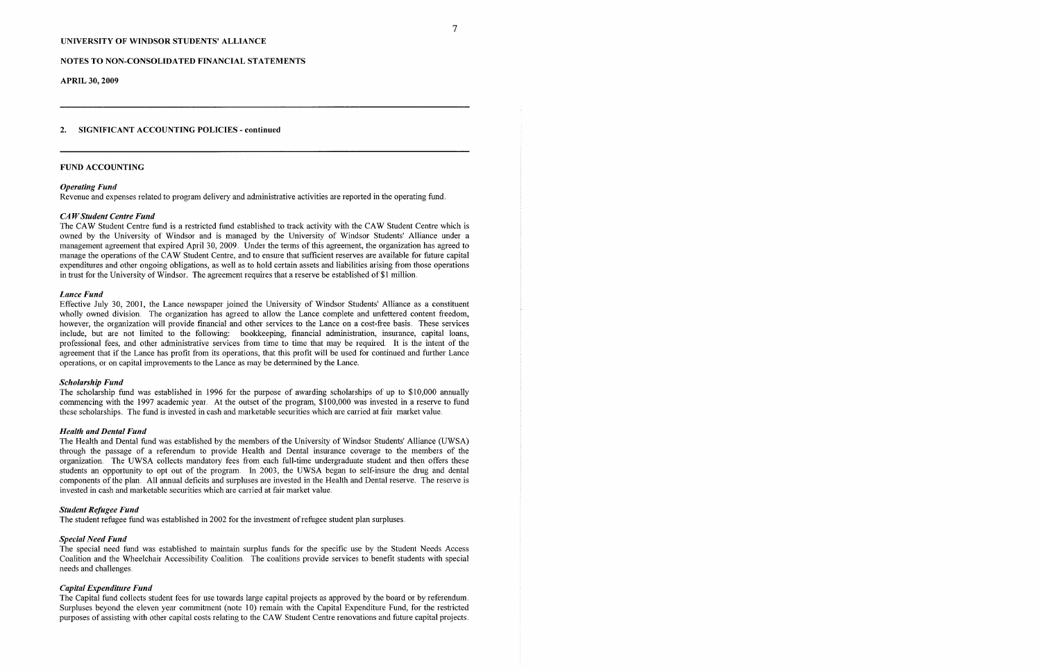### NOTES TO NON-CONSOLIDATED FINANCIAL STATEMENTS

**APRIL 30, 2009**

### 2. SIGNIFICANT ACCOUNTING POLICIES - **continued**

### FUND ACCOUNTING

The CAW Student Centre fund is a restricted fund established to track activity with the CAW Student Centre which is owned by the University of Windsor and is managed by the University of Windsor Students' Alliance under a management agreement that expired April 30, 2009.. Under the terms of this agreement, the organization has agreed to manage the operations of the CAW Student Centre, and to ensure that sufficient reserves are available for future capital expenditures and other ongoing obligations, as well as to hold certain assets and liabilities arising from those operations in trust for the University of Windsor. The agreement requires that a reserve be established of \$1 million.

#### *Operating Fund*

Revenue and expenses related to program delivery and administrative activities are reported in the operating fund.

#### *CA W Student Centre Fund*

Effective July 30, 2001, the Lance newspaper joined the University of Windsor Students' Alliance as a constituent wholly owned division. The organization has agreed to allow the Lance complete and unfettered content freedom, however, the organization will provide financial and other services to the Lance on a cost-free basis. These services include, but are not limited to the following: bookkeeping, financial administration, insurance, capital loans, professional fees, and other administrative services from time to time that may be required. It is the intent of the agreement that if the Lance has profit from its operations, that this profit will be used for continued and further Lance operations, or on capital improvements to the Lance as may be determined by the Lance.

#### *Lance Fund*

The scholarship fund was established in 1996 for the purpose of awarding scholarships of up to \$10,000 annually commencing with the 1997 academic year. At the outset of the program, \$100,000 was invested in a reserve to fund these scholarships.. The fund is invested in cash and marketable securities which are carried at fair market value.

#### *Schohtrship Fund*

#### *Health and Dental Fund*

The Health and Dental fund was established by the members of the University of Windsor Students' Alliance (UWSA) through the passage of a referendum to provide Health and Dental insurance coverage to the members of the organization. The UWSA collects mandatory fees from each full-time undergraduate student and then offers these students an opportunity to opt out of the program. In 2003, the UWSA began to self-insure the drug and dental components of the plan. All annual deficits and surpluses are invested in the Health and Dental reserve. The reserve is invested in cash and marketable securities which are carried at fair market value.

#### *Student Refugee Fund*

The student refugee fund was established in 2002 for the investment of refugee student plan surpluses.

### *Special Need Fund*

The special need fund was established to maintain surplus funds for' the specific use by the Student Needs Access Coalition and the Wheelchair Accessibility Coalition. The coalitions provide services to benefit students with special needs and challenges..

#### *Capital Expenditure Fund*

The Capital fund collects student fees for use towards large capital projects as approved by the board or by referendum. Surpluses beyond the eleven year commitment (note 10) remain with the Capital Expenditure Fund, for the restricted purposes of assisting with other capital costs relating to the CAW Student Centre renovations and future capital projects.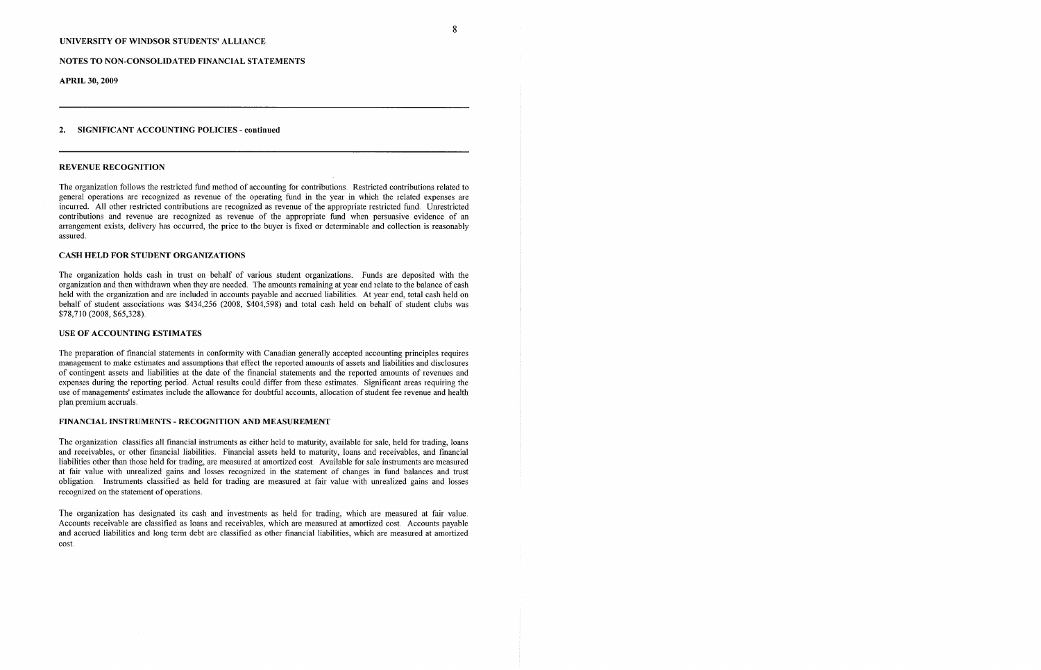### NOTES TO NON-CONSOLIDATED FINANCIAL STATEMENTS

**APRIL 30, 2009**

### 2. SIGNIFICANT ACCOUNTING POLICIES - **continued**

#### REVENUE RECOGNITION

The organization follows the restricted fund method of accounting for contributions. Restricted contributions related to general operations are recognized as revenue of the operating fund in the year in which the related expenses are incurred. All other restricted contributions are recognized as revenue of the appropriate restricted fund. Unrestricted contributions and revenue are recognized as revenue of the appropriate fund when persuasive evidence of an arrangement exists, delivery has occurred, the price to the buyer is fixed or determinable and collection is reasonably assured.

### **CASH HELD FOR STUDENT ORGANIZATIONS**

The organization holds cash in trust on behalf of various student organizations. Funds are deposited with the organization and then withdrawn when they are needed. The amounts remaining at year end relate to the balance of cash held with the organization and are included in accounts payable and accrued liabilities. At year end, total cash held on behalf of student associations was \$434,256 (2008, \$404,598) and total cash held on behalf of' student clubs was \$78,710 (2008, \$65,328)

### USE OF ACCOUNTING ESTIMATES

The organization classifies all financial instruments as either held to maturity, available for sale, held for trading, loans and receivables, or other financial liabilities. Financial assets held to maturity, loans and receivables, and financial liabilities other than those held for trading, are measured at amortized cost. Available for sale instruments are measured at fair value with unrealized gains and losses recognized in the statement of changes in fund balances and trust obligation Instruments classified as held for trading are measured at fair value with unrealized gains and losses recognized on the statement of operations..

The organization has designated its cash and investments as held for trading, which are measured at fair value. Accounts receivable are classified as loans and receivables, which are measured at amortized cost. Accounts payable and accrued liabilities and long term debt are classified as other financial liabilities, which are measured at amortized cost.

 $\overline{8}$ 

The preparation of fmancial statements in conformity with Canadian generally accepted accounting principles requires management to make estimates and assumptions that effect the reported amounts of assets and liabilities and disclosures of contingent assets and liabilities at the date of' the financial statements and the reported amounts of revenues and expenses during the reporting period. Actual results could differ from these estimates. Significant areas requiring the use of managements' estimates include the allowance for doubtful accounts, allocation of student fee revenue and health plan premium accruals.

#### FINANCIAL INSTRUMENTS - RECOGNITION AND MEASUREMENT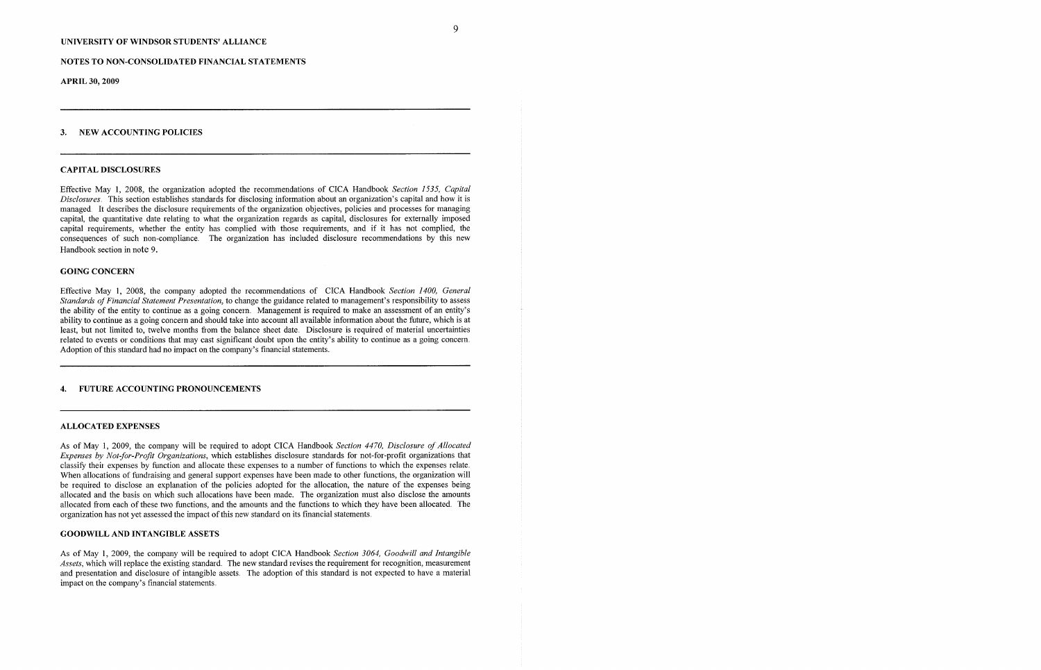#### NOTES TO NON-CONSOLIDATED FINANCIAL STATEMENTS

**APRIL 30, 2009**

#### 3. NEW ACCOUNTING POLICIES

#### CAPITAL DISCLOSURES

Effective May 1, 2008, the organization adopted the recommendations of CICA Handbook *Section 1.535, Capital Disclosures* This section establishes standards for disclosing information about an organization's capital and how it is managed It describes the disclosure requirements of the organization objectives, policies and processes for managing capital, the quantitative date relating to what the organization regards as capital, disclosures for externally imposed capital requirements, whether the entity has complied with those requixements, and if' it has not complied, the consequences of such non-compliance. The organization has included disclosure recommendations by this new Handbook section in note 9.

### GOING CONCERN

Effective May 1, 2008, the company adopted the recornmendations of CICA Handbook *Section 1400, General Standards oJFinancial Statement Presentation,* to change the guidance related to management's responsibility to assess the ability of the entity to continue as a going concern.. Management is required to make an assessment of an entity's ability to continue as a going concern and should take into account all available information about the future, which is at least, but not limited to, twelve months from the balance sheet date. Disclosure is required of material uncertainties related to events or conditions that may cast significant doubt upon the entity's ability to continue as a going concern. Adoption of this standard had no impact on the company's financial statements.

As of May 1, 2009, the company will be required to adopt CICA Handbook *Section 4470*, Disclosure of Allocated *Expenses by Not-for-Profit Organizations,* which establishes disclosure standards for not-for-profit organizations that classify their expenses by function and allocate these expenses to a number of functions to which the expenses relate.. When allocations of fundraising and general support expenses have been made to other functions, the organization will be required to disclose an explanation of the policies adopted for the allocation, the nature of the expenses being allocated and the basis on which such allocations have been made. The organization must also disclose the amounts allocated from each of these two functions, and the amounts and the functions to which they have been allocated. The organization has not yet assessed the impact of this new standard on its financial statements.

As of May 1, 2009, the company will be required to adopt CICA Handbook *Section 3064, Goodwill and Intangible Assets, which will replace the existing standard.* The new standard revises the requirement for recognition, measurement and presentation and disclosure of intangible assets. The adoption of this standard is not expected to have a material impact on the company's financial statements..

### 4. FUTURE ACCOUNTING PRONOUNCEMENTS

#### ALLOCATED EXPENSES

### GOODWILL AND INTANGIBLE ASSETS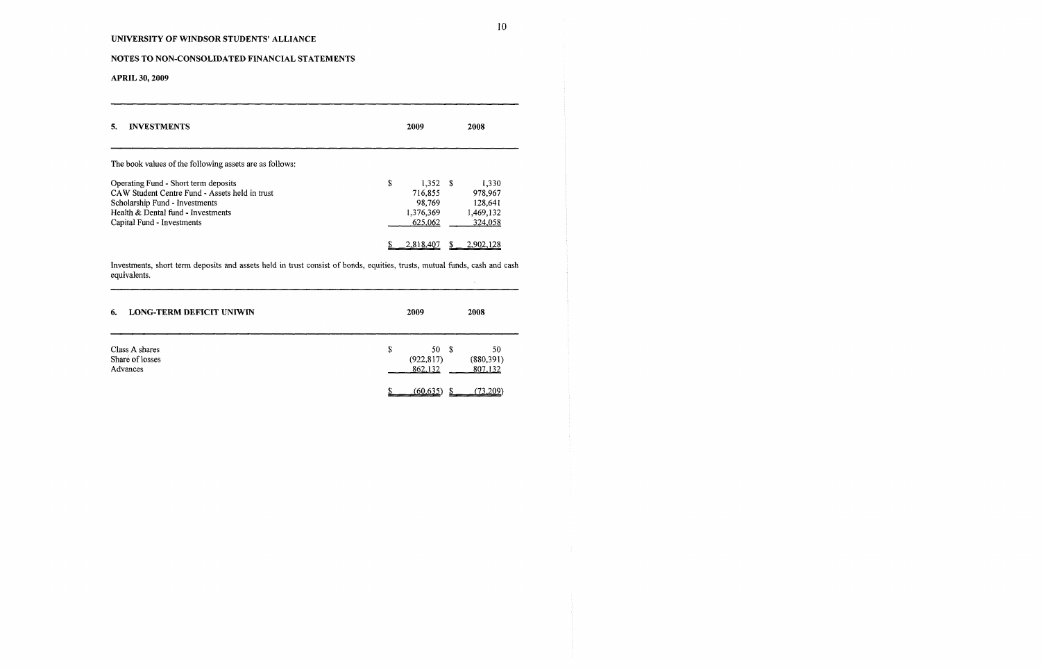# NOTES TO NON-CONSOLIDATED FINANCIAL STATEMENTS

**APRIL 30, 2009**

Investmems, short term deposits and assets held in trust consist of bonds, equities, trusts, mutual funds, cash and cash equivalents.  $\sim$  10  $^{\circ}$ 

| 5.<br><b>INVESTMENTS</b>                                                                                                                                                                     | 2009                                                          | 2008                                                |  |
|----------------------------------------------------------------------------------------------------------------------------------------------------------------------------------------------|---------------------------------------------------------------|-----------------------------------------------------|--|
| The book values of the following assets are as follows:                                                                                                                                      |                                                               |                                                     |  |
| Operating Fund - Short term deposits<br>CAW Student Centre Fund - Assets held in trust<br>Scholarship Fund - Investments<br>Health & Dental fund - Investments<br>Capital Fund - Investments | \$<br>$1,352$ \$<br>716,855<br>98,769<br>1,376,369<br>625,062 | 1.330<br>978,967<br>128.641<br>1,469,132<br>324,058 |  |
|                                                                                                                                                                                              | 2.818,407                                                     | 2.902.1                                             |  |

| <b>LONG-TERM DEFICIT UNIWIN</b><br>6.         | 2009 | 2008                                                               |
|-----------------------------------------------|------|--------------------------------------------------------------------|
| Class A shares<br>Share of losses<br>Advances | \$   | 50<br>50<br>- \$<br>(922, 817)<br>(880, 391)<br>862,132<br>807,132 |
|                                               |      | (73.209)<br>(60.635)                                               |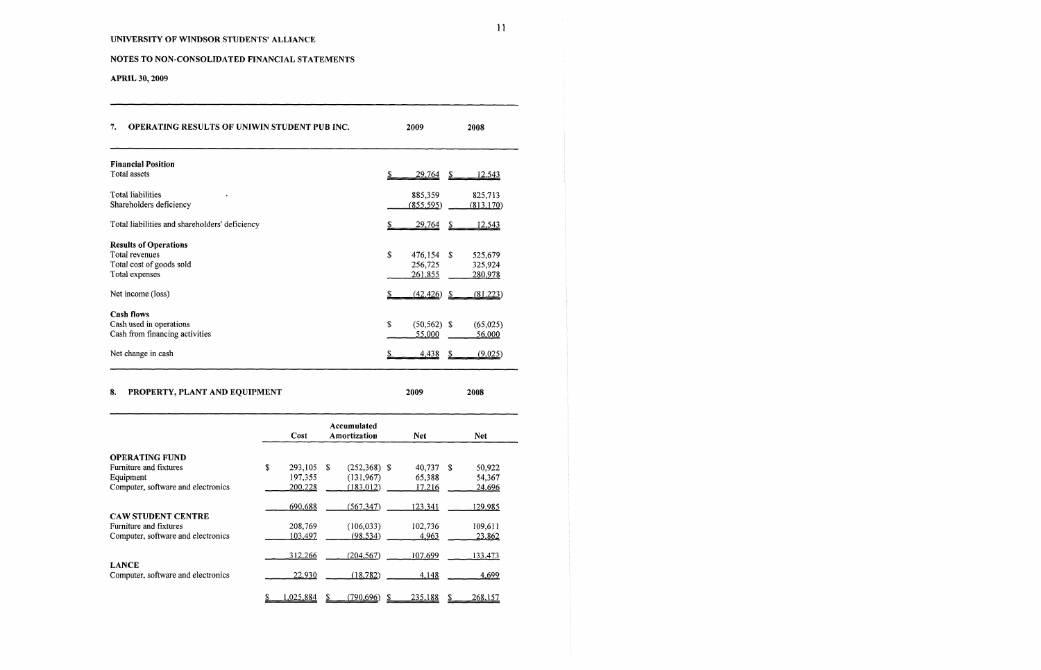# NOTES TO NON-CONSOLIDATED FINANCIAL STATEMENTS

**APRIL 30, 2009**

| <b>OPERATING RESULTS OF UNIWIN STUDENT PUB INC.</b><br>7. | 2009                  | 2008                  |
|-----------------------------------------------------------|-----------------------|-----------------------|
| <b>Financial Position</b>                                 |                       |                       |
| Total assets                                              | <u>29,764</u>         | -S<br><u>12,543</u>   |
| Total liabilities<br>Shareholders deficiency              | 885,359<br>(855, 595) | 825,713<br>(813, 170) |
| Total liabilities and shareholders' deficiency            | 29,764                | 12,543<br>S           |
| <b>Results of Operations</b>                              |                       |                       |
| <b>Total revenues</b>                                     | \$<br>476,154         | -S<br>525,679         |
| Total cost of goods sold                                  | 256,725               | 325,924               |
| Total expenses                                            | 261,855               | 280,978               |
| Net income (loss)                                         | (42, 426)             | (81,223)<br>- \$      |
| <b>Cash flows</b>                                         |                       |                       |
| Cash used in operations                                   | \$<br>$(50, 562)$ \$  | (65,025)              |
| Cash from financing activities                            | 55,000                | 56,000                |
| Net change in cash                                        | 4,438                 | (9,025)               |

# 8. PROPERTY, PLANT AND EQUIPMENT **2009 2008**

|                                    | Cost          |   | Accumulated<br>Amortization | <b>Net</b>    |      | Net.           |
|------------------------------------|---------------|---|-----------------------------|---------------|------|----------------|
| <b>OPERATING FUND</b>              |               |   |                             |               |      |                |
| Furniture and fixtures             | \$<br>293,105 | S | $(252,368)$ \$              | 40.737        | - \$ | 50,922         |
| Equipment                          | 197,355       |   | (131, 967)                  | 65,388        |      | 54.367         |
| Computer, software and electronics | 200,228       |   | (183, 012)                  | <u>17,216</u> |      | 24,696         |
|                                    |               |   |                             |               |      |                |
|                                    | 690,688       |   | (567, 347)                  | 123,341       |      | 129,985        |
| <b>CAW STUDENT CENTRE</b>          |               |   |                             |               |      |                |
| Furniture and fixtures             | 208,769       |   | (106, 033)                  | 102,736       |      | 109,611        |
| Computer, software and electronics | 103,497       |   | (98, 534)                   | 4,963         |      | 23,862         |
|                                    |               |   |                             |               |      |                |
|                                    | 312,266       |   | (204, 567)                  | 107,699       |      | 133,473        |
| <b>LANCE</b>                       |               |   |                             |               |      |                |
| Computer, software and electronics | 22,930        |   | (18, 782)                   | 4,148         |      | 4,699          |
|                                    |               |   |                             |               |      |                |
|                                    | 1,025,884     |   | (790.696)                   | 235,188       |      | <u>268.157</u> |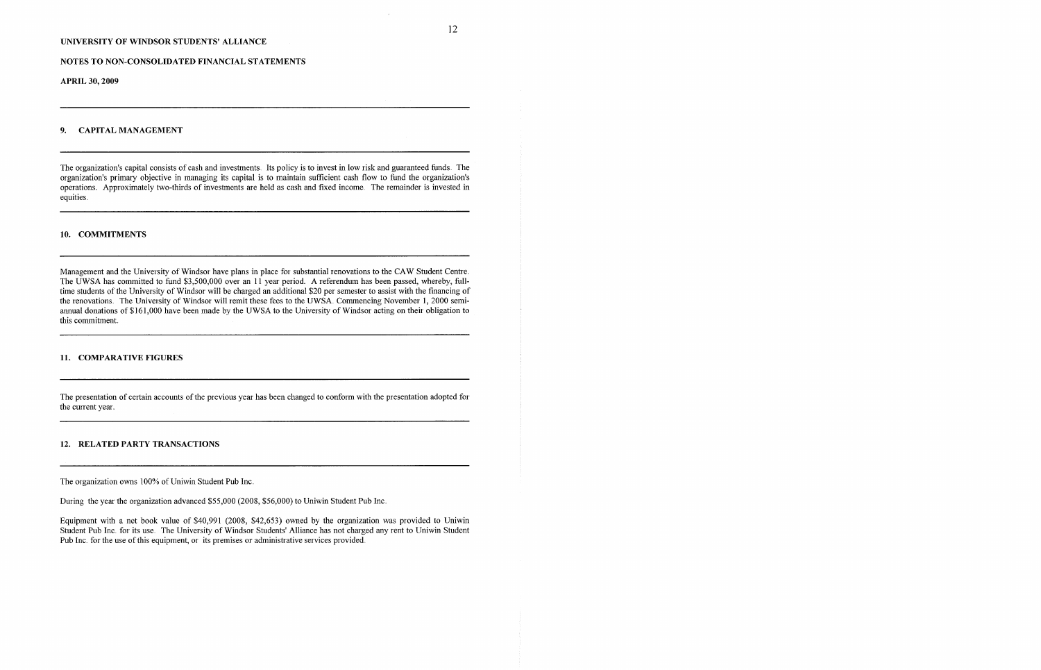### NOTES TO NON-CONSOLIDATED FINANCIAL STATEMENTS

**APRIL 30, 2009**

### 9. CAPITAL MANAGEMENT

The organization's capital consists of cash and investments. Its policy is to invest in low risk and guaranteed funds. The organization's primary objective in managing its capital is to maintain sufficient cash flow to fund the organization's operations. Approximately two-thirds of investments are held as cash and fixed income. The remainder is invested in equities.

### 10. COMMITMENTS

Management and the University of Windsor have plans in place for substantial renovations to the CAW Student Centre. The UWSA has committed to fund \$3,500,000 over an 11 year period. A referendum has been passed, whereby, fulltime students of the University of Windsor will be charged an additional \$20 per semester to assist with the financing of the renovations. The University of Windsor will remit these fees to the UWSA. Commencing November 1, 2000 semiannual donations of \$161,000 have been made by the UWSA to the University of Windsor acting on their obligation to this commitment.

Equipment with a net book value of' \$40,991 (2008, \$42,653) owned by the organization was provided to Uniwin Student Pub Inc. for its use. The University of Windsor Students' Alliance has not charged any rent to Uniwin Student Pub Inc. for the use of this equipment, or its premises or administrative services provided.

### 11. COMPARATIVE FIGURES

The presentation of certain accounts of the previous year has been changed to conform with the presentation adopted for the current year.

### 12. RELATED PARTY TRANSACTIONS

The organization owns 100% of Uniwin Student Pub Inc.

During the year the organization advanced \$55,000 (2008, \$56,000) to Uniwin Student Pub Inc.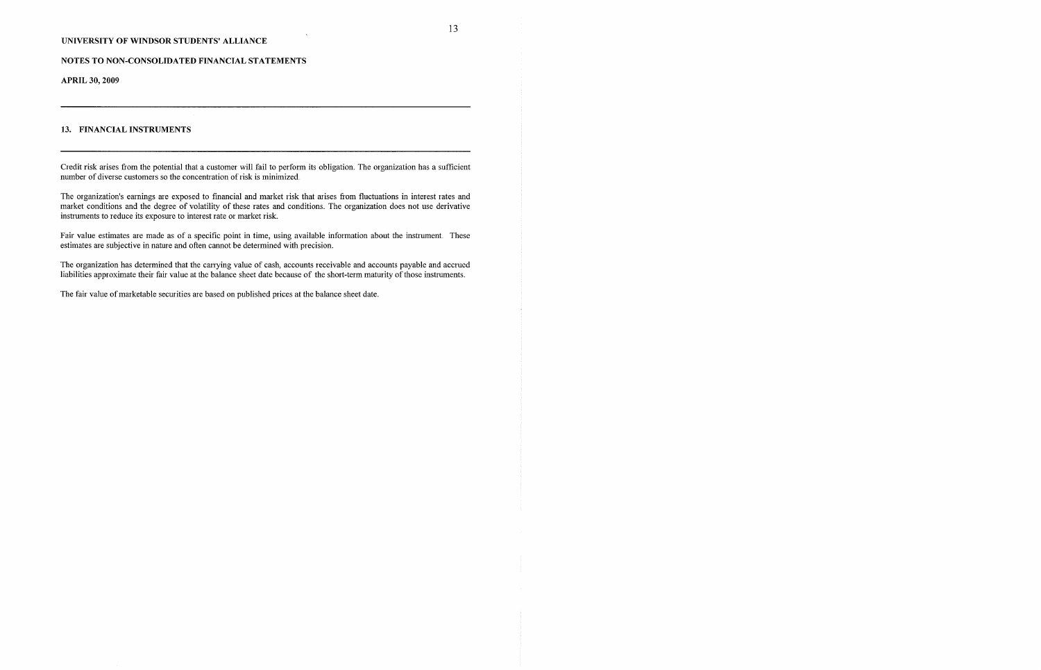NOTES TO NON-CONSOLIDATED FINANCIAL STATEMENTS

**APRIL 30, 2009**

13

### 13. FINANCIAL INSTRUMENTS

Credit risk arises from the potential that a customer will fail to perform its obligation. The organization has a sufficient number of diverse customers so the concentration of risk is minimized.

The organization's earnings are exposed to financial and market risk that arises from fluctuations in interest rates and market conditions and the degree of volatility of these rates and conditions. The organization does not use derivative instruments to reduce its exposure to interest rate or market risk.

Fair value estimates are made as of a specific point in time, using available information about the instrument. These estimates are subjective in nature and often cannot be determined with precision.

The organization has determined that the carrying value of cash, accounts receivable and accounts payable and accrued liabilities approximate their fair value at the balance sheet date because of the short-term maturity of those instruments.

The fair value of marketable securities are based on published prices at the balance sheet date.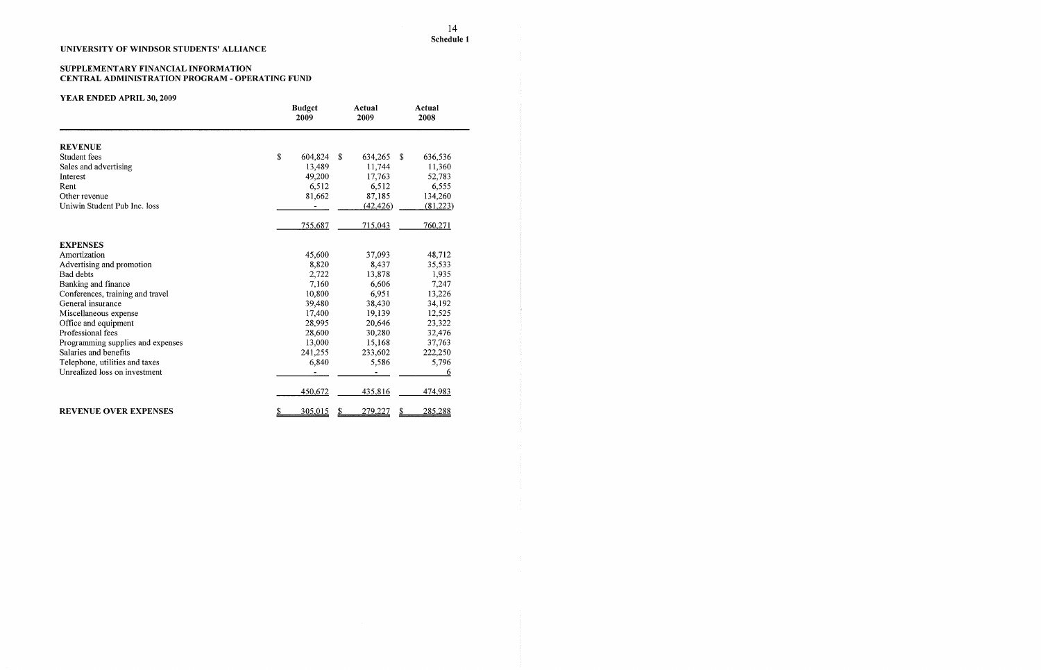### SUPPLEMENTARY FINANCIAL INFORMATION CENTRAL ADMINISTRATION PROGRAM - OPERATING FUND

# YEAR ENDED APRIL **30, 2009**

### 14 **Schedule 1**

|                                   | <b>Budget</b><br>2009 | Actual<br>2009      | Actual<br>2008 |
|-----------------------------------|-----------------------|---------------------|----------------|
| <b>REVENUE</b>                    |                       |                     |                |
| Student fees                      | \$<br>604,824         | \$<br>634,265<br>\$ | 636,536        |
| Sales and advertising             | 13,489                | 11,744              | 11,360         |
| Interest                          | 49,200                | 17,763              | 52,783         |
| Rent                              | 6,512                 | 6,512               | 6,555          |
| Other revenue                     | 81,662                | 87,185              | 134,260        |
| Uniwin Student Pub Inc. loss      |                       | (42, 426)           | (81,223)       |
|                                   | 755,687               | 715,043             | 760,271        |
| <b>EXPENSES</b>                   |                       |                     |                |
| Amortization                      | 45,600                | 37,093              | 48,712         |
| Advertising and promotion         | 8,820                 | 8,437               | 35,533         |
| Bad debts                         | 2,722                 | 13,878              | 1,935          |
| Banking and finance               | 7,160                 | 6,606               | 7,247          |
| Conferences, training and travel  | 10,800                | 6,951               | 13,226         |
| General insurance                 | 39,480                | 38,430              | 34,192         |
| Miscellaneous expense             | 17,400                | 19,139              | 12,525         |
| Office and equipment              | 28,995                | 20,646              | 23,322         |
| Professional fees                 | 28,600                | 30,280              | 32,476         |
| Programming supplies and expenses | 13,000                | 15,168              | 37,763         |
| Salaries and benefits             | 241,255               | 233,602             | 222,250        |
| Telephone, utilities and taxes    | 6,840                 | 5,586               | 5,796          |
| Unrealized loss on investment     |                       |                     | 6              |
|                                   | 450,672               | 435,816             | 474,983        |
| <b>REVENUE OVER EXPENSES</b>      | 305,015<br>S          | 279,227<br>2        | 285,288        |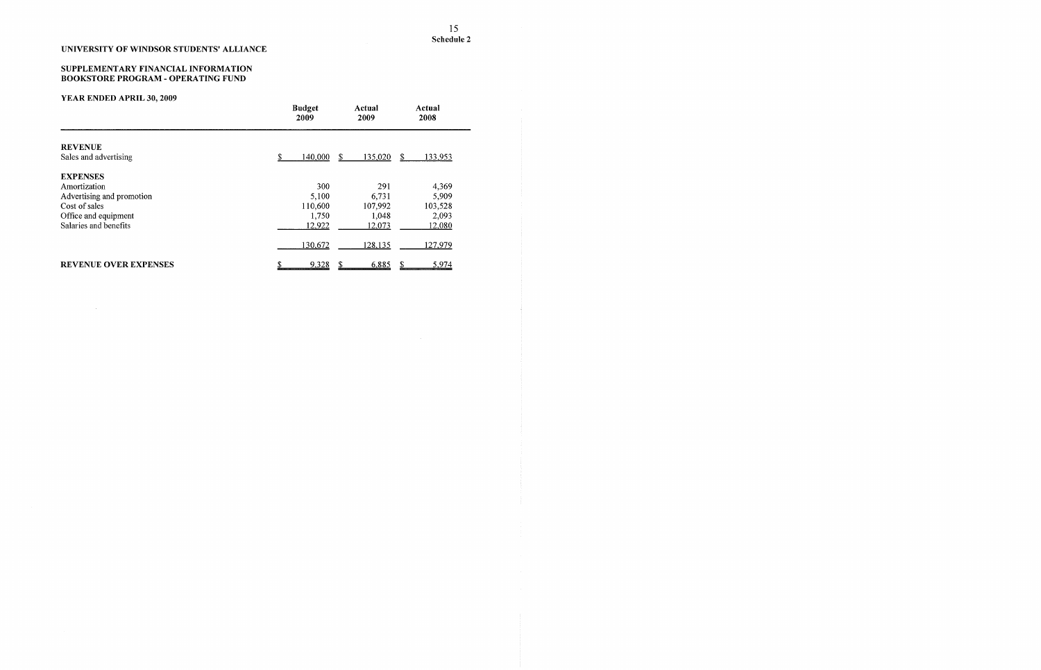#### SUPPLEMENTARY FINANCIAL INFORMATION BOOKSTORE PROGRAM - OPERATING FUND

# YEAR ENDED APRIL **30, 2009**

 $\sim 10^7$ 

 $\sim 10^{-1}$ 

|                                         | <b>Budget</b><br>2009 | Actual<br>2009 | Actual<br>2008 |
|-----------------------------------------|-----------------------|----------------|----------------|
| <b>REVENUE</b><br>Sales and advertising | 140,000               | 135,020<br>S   | 133,953<br>S   |
| <b>EXPENSES</b>                         |                       |                |                |
| Amortization                            | 300                   | 291            | 4,369          |
| Advertising and promotion               | 5,100                 | 6,731          | 5,909          |
| Cost of sales                           | 110,600               | 107,992        | 103,528        |
| Office and equipment                    | 1,750                 | 1,048          | 2,093          |
| Salaries and benefits                   | 12,922                | 12,073         | <u>12,080</u>  |
|                                         | 130,672               | 128,135        | 127,979        |
| <b>REVENUE OVER EXPENSES</b>            | 9,328<br>\$           | 6,885<br>S     | S<br>5,974     |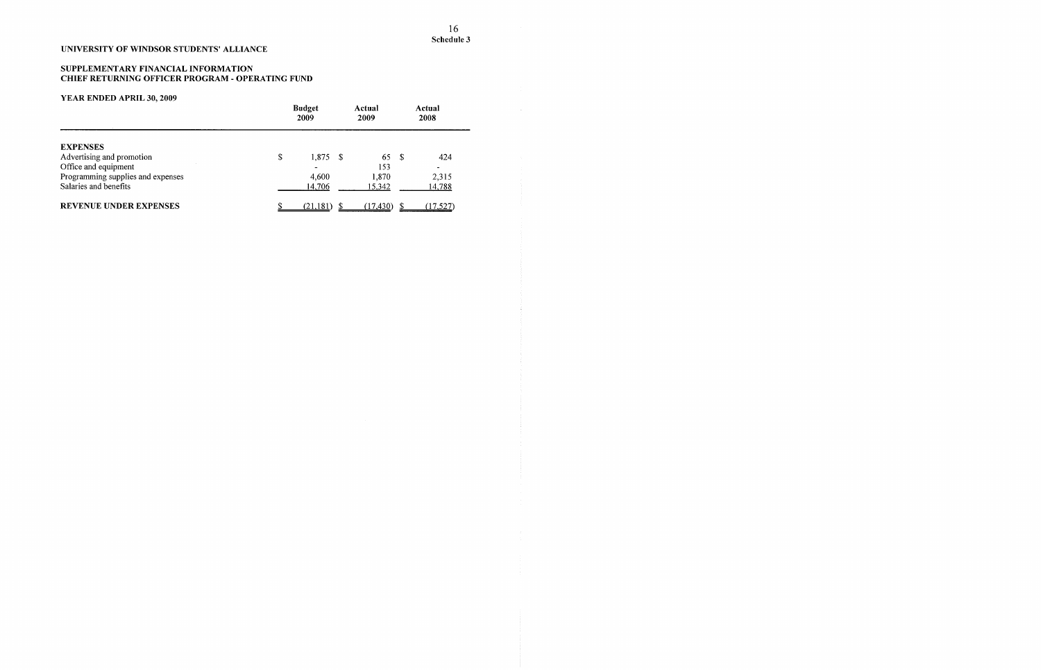### SUPPLEMENTARY FINANCIAL INFORMATION CHIEF RETURNING OFFICER PROGRAM - OPERATING FUND

|                                   | <b>Budget</b><br>2009 |           |              | Actual<br>2009 |   | Actual<br>2008 |
|-----------------------------------|-----------------------|-----------|--------------|----------------|---|----------------|
| <b>EXPENSES</b>                   |                       |           |              |                |   |                |
| Advertising and promotion         | \$                    | 1,875     | $\mathbb{S}$ | 65             | S | 424            |
| Office and equipment              |                       |           |              | 153            |   | $\blacksquare$ |
| Programming supplies and expenses |                       | 4,600     |              | 1,870          |   | 2,315          |
| Salaries and benefits             |                       | 14,706    |              | 15,342         |   | 14,788         |
| <b>REVENUE UNDER EXPENSES</b>     |                       | (21, 181) |              | (17, 430)      |   | (17, 527)      |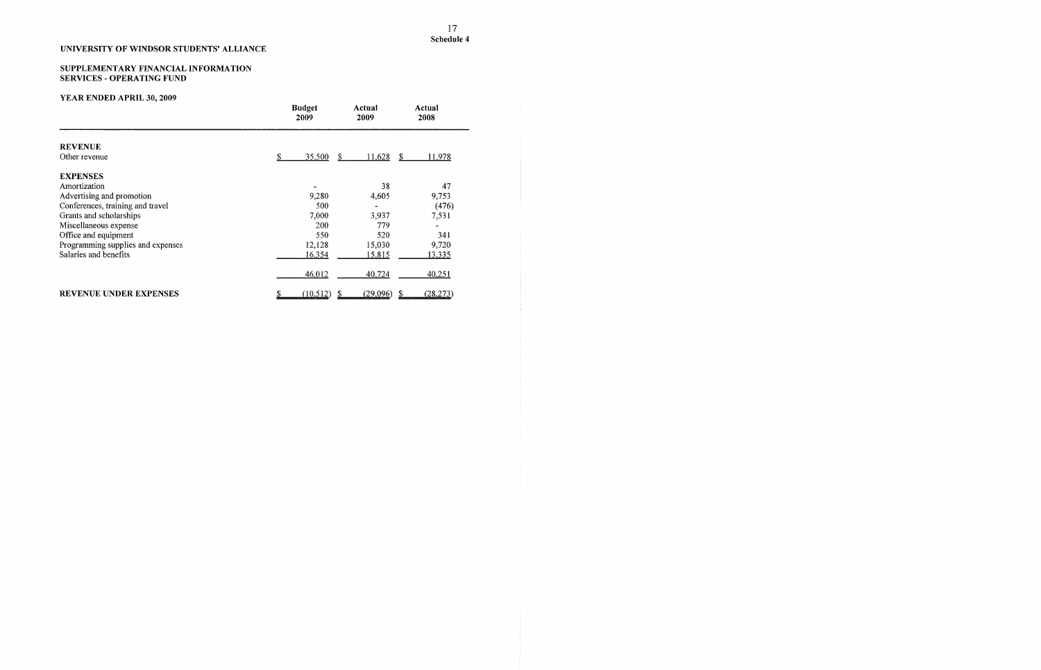### SUPPLEMENTARY FINANCIAL INFORMATION **SERVICES - OPERATING FUND**

|                                   | <b>Budget</b><br>2009 | Actual<br>2009      | Actual<br>2008                |
|-----------------------------------|-----------------------|---------------------|-------------------------------|
| <b>REVENUE</b>                    |                       |                     |                               |
| Other revenue                     | S<br><u>35,500</u>    | <u>11,628</u><br>-S | <u>11,978</u><br><sup>S</sup> |
| <b>EXPENSES</b>                   |                       |                     |                               |
| Amortization                      |                       | 38                  | 47                            |
| Advertising and promotion         | 9,280                 | 4,605               | 9,753                         |
| Conferences, training and travel  | 500                   |                     | (476)                         |
| Grants and scholarships           | 7,000                 | 3,937               | 7,531                         |
| Miscellaneous expense             | 200                   | 779                 |                               |
| Office and equipment              | 550                   | 520                 | 341                           |
| Programming supplies and expenses | 12,128                | 15,030              | 9,720                         |
| Salaries and benefits             | 16,354                | <u>15,815</u>       | <u>13,335</u>                 |
|                                   | 46,012                | 40,724              | 40,251                        |
| <b>REVENUE UNDER EXPENSES</b>     | (10, 512)             | (29,096)            | (28, 273)<br>\$               |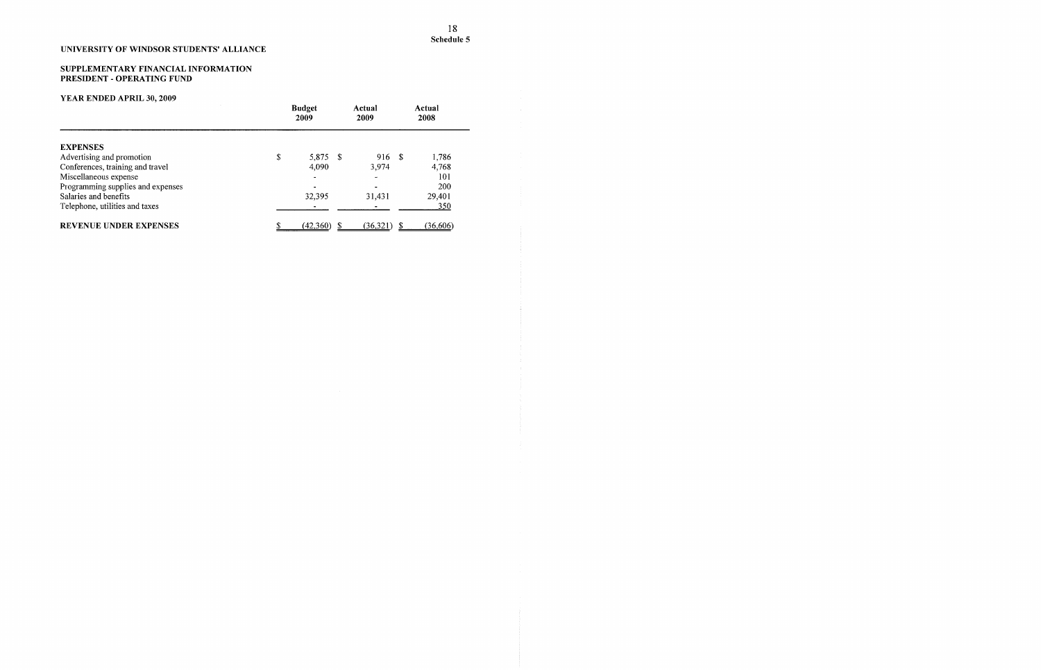#### SUPPLEMENTARY FINANCIAL INFORMATION PRESIDENT **-** OPERATING FUND

|                                   | <b>Budget</b><br>2009 |     | Actual<br>2009 |  | Actual<br>2008 |  |
|-----------------------------------|-----------------------|-----|----------------|--|----------------|--|
| <b>EXPENSES</b>                   |                       |     |                |  |                |  |
| Advertising and promotion         | \$<br>5,875           | - S | 916 \$         |  | 1,786          |  |
| Conferences, training and travel  | 4,090                 |     | 3.974          |  | 4,768          |  |
| Miscellaneous expense             |                       |     | $\blacksquare$ |  | 101            |  |
| Programming supplies and expenses |                       |     |                |  | 200            |  |
| Salaries and benefits             | 32.395                |     | 31.431         |  | 29,401         |  |
| Telephone, utilities and taxes    |                       |     |                |  | 350            |  |
| <b>REVENUE UNDER EXPENSES</b>     | (42,360)              |     | (36,321)       |  | (36,606)       |  |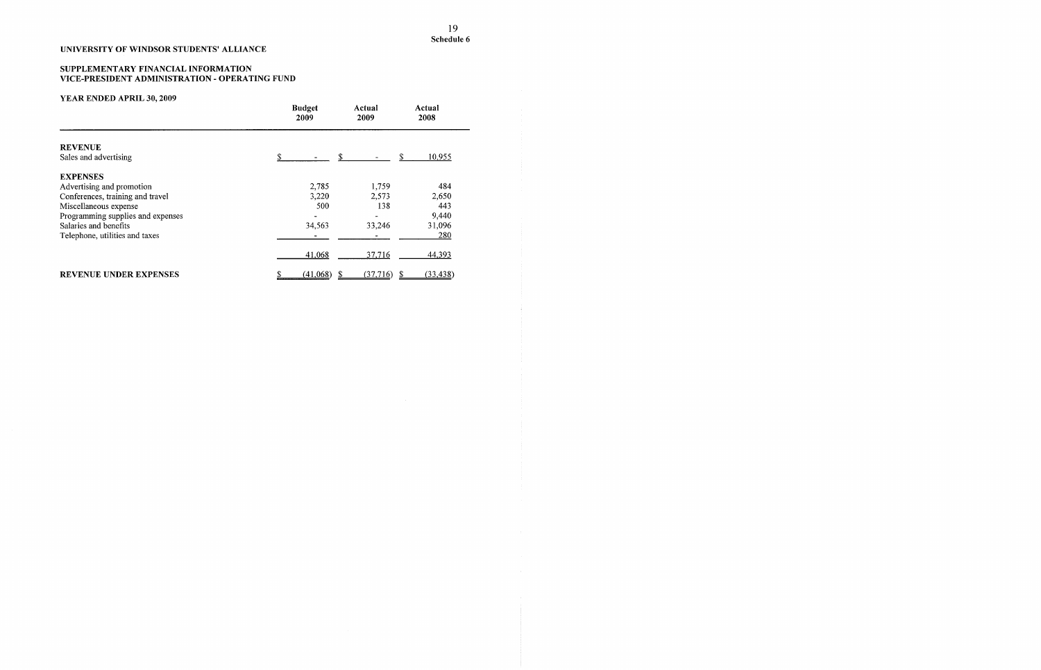#### SUPPLEMENTARY FINANCIAL INFORMATION VICE-PRESIDENT ADMINISTRATION - OPERATING FUND

|                                         | <b>Budget</b><br>2009 | Actual<br>2009 | Actual<br>2008 |
|-----------------------------------------|-----------------------|----------------|----------------|
| <b>REVENUE</b><br>Sales and advertising |                       | \$             | \$<br>10,955   |
| <b>EXPENSES</b>                         |                       |                |                |
| Advertising and promotion               | 2,785                 | 1,759          | 484            |
| Conferences, training and travel        | 3,220                 | 2,573          | 2,650          |
| Miscellaneous expense                   | 500                   | 138            | 443            |
| Programming supplies and expenses       |                       |                | 9,440          |
| Salaries and benefits                   | 34,563                | 33,246         | 31,096         |
| Telephone, utilities and taxes          |                       |                | 280            |
|                                         | 41,068                | 37,716         | 44,393         |
| <b>REVENUE UNDER EXPENSES</b>           | (41,068)              | (37,716)       | (33, 438)      |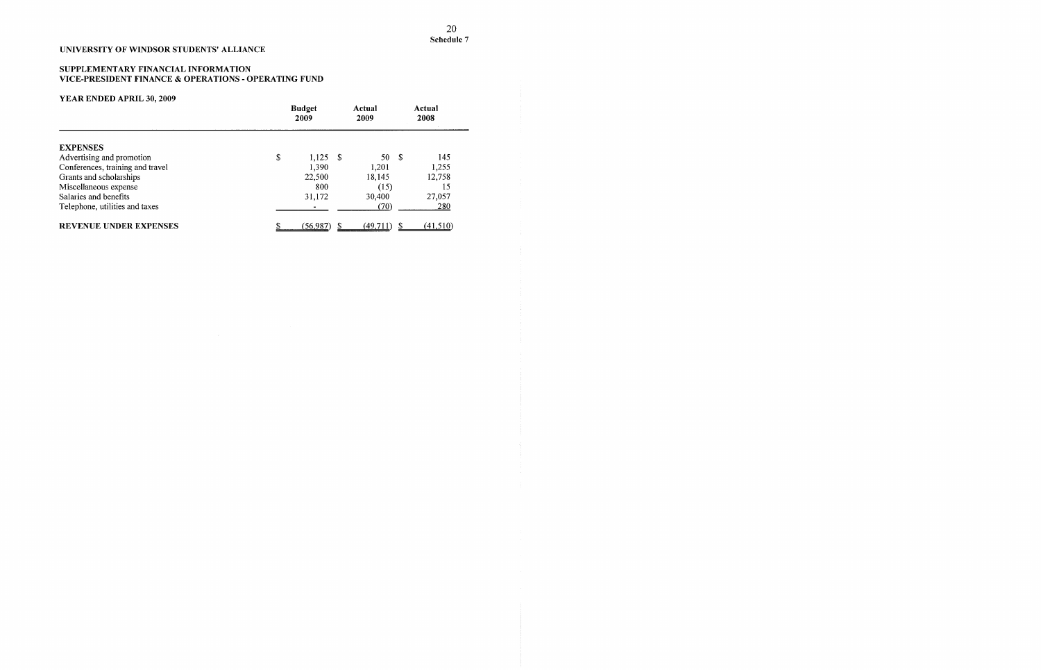### SUPPLEMENTARY FINANCIAL INFORMATION VICE-PRESIDENT FINANCE & OPERATIONS - OPERATING FUND

|                                  | <b>Budget</b><br>2009 |          | Actual<br>2008 |  |
|----------------------------------|-----------------------|----------|----------------|--|
| <b>EXPENSES</b>                  |                       |          |                |  |
| Advertising and promotion        | \$<br>1,125<br>- \$   | 50       | -\$<br>145     |  |
| Conferences, training and travel | 1,390                 | 1,201    | 1,255          |  |
| Grants and scholarships          | 22,500                | 18,145   | 12,758         |  |
| Miscellaneous expense            | 800                   | (15)     | 15             |  |
| Salaries and benefits            | 31,172                | 30,400   | 27,057         |  |
| Telephone, utilities and taxes   |                       | (70)     | 280            |  |
| <b>REVENUE UNDER EXPENSES</b>    | (56, 987)             | (49,711) | (41,510)       |  |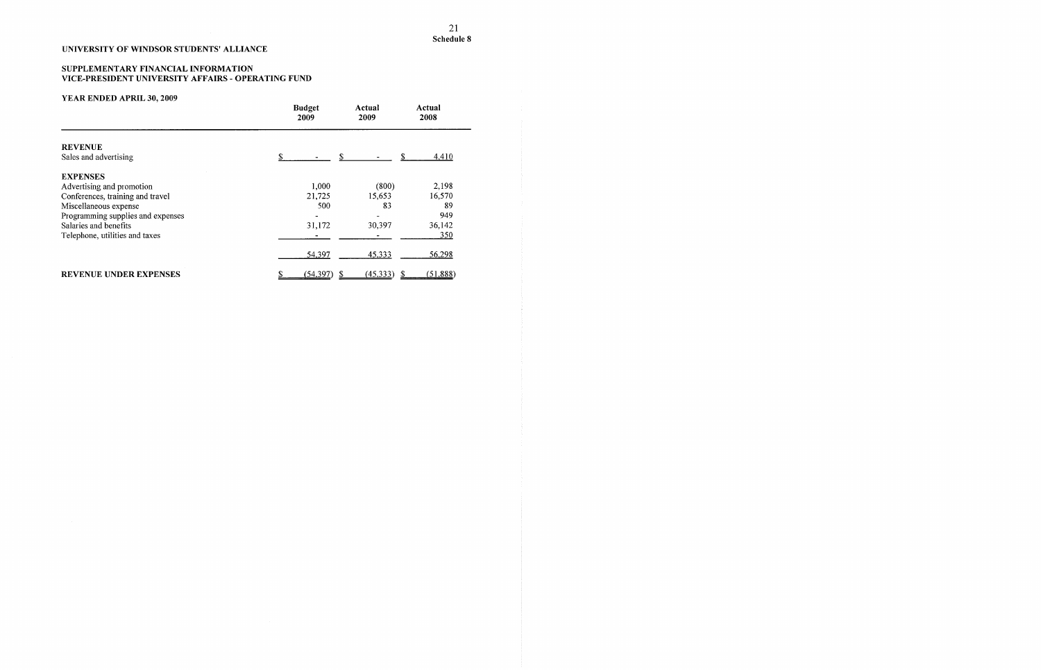### SUPPLEMENTARY FINANCIAL INFORMATION VICE-PRESIDENT UNIVERSITY AFFAIRS - OPERATING FUND

|                                   | <b>Budget</b><br>2009 | Actual<br>2009 | Actual<br>2008 |
|-----------------------------------|-----------------------|----------------|----------------|
| <b>REVENUE</b>                    |                       |                |                |
| Sales and advertising             | \$                    |                | 4,410          |
| <b>EXPENSES</b>                   |                       |                |                |
| Advertising and promotion         | 1,000                 | (800)          | 2,198          |
| Conferences, training and travel  | 21,725                | 15,653         | 16,570         |
| Miscellaneous expense             | 500                   | 83             | 89             |
| Programming supplies and expenses |                       |                | 949            |
| Salaries and benefits             | 31,172                | 30,397         | 36,142         |
| Telephone, utilities and taxes    |                       |                | 350            |
|                                   | 54,397                | 45,333         | 56,298         |
| REVENUE UNDER EXPENSES            | (54, 397)             | (45,333)       | (51,888)       |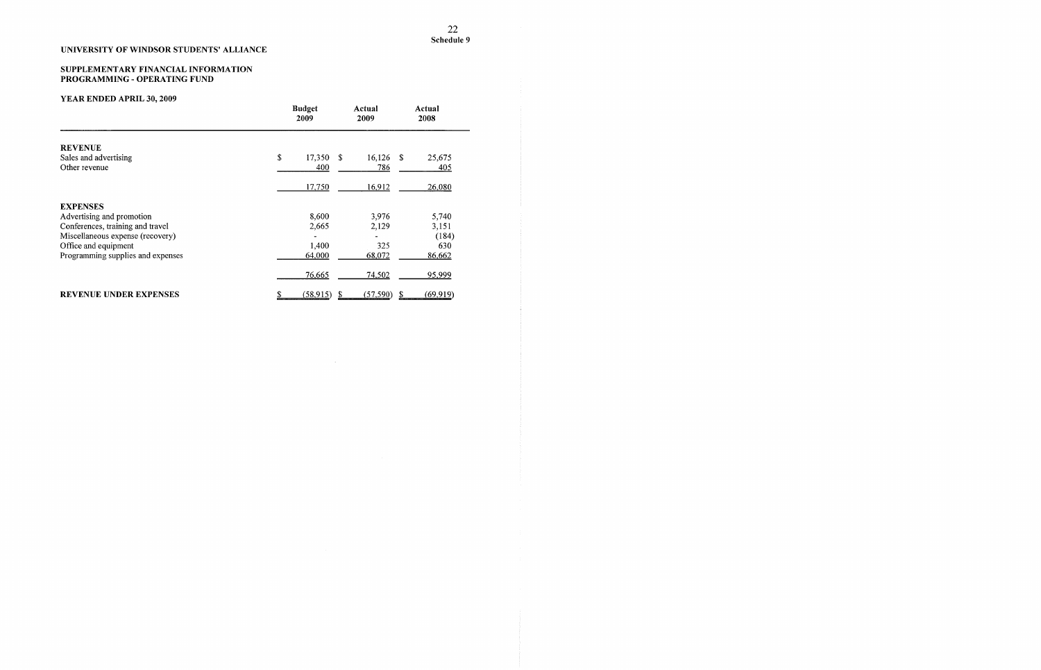#### SUPPLEMENTARY FINANCIAL INFORMATION PROGRAMMING - OPERATING FUND

|                                   | <b>Budget</b><br>2009 | Actual<br>2009          | Actual<br>2008 |  |
|-----------------------------------|-----------------------|-------------------------|----------------|--|
| <b>REVENUE</b>                    |                       |                         |                |  |
| Sales and advertising             | \$<br>17,350          | 16,126<br>$\mathcal{S}$ | 25,675<br>- \$ |  |
| Other revenue                     | 400                   | 786                     | 405            |  |
|                                   | 17,750                | 16,912                  | 26,080         |  |
| <b>EXPENSES</b>                   |                       |                         |                |  |
| Advertising and promotion         | 8,600                 | 3,976                   | 5,740          |  |
| Conferences, training and travel  | 2,665                 | 2,129                   | 3,151          |  |
| Miscellaneous expense (recovery)  |                       |                         | (184)          |  |
| Office and equipment              | 1,400                 | 325                     | 630            |  |
| Programming supplies and expenses | 64,000                | 68,072                  | 86,662         |  |
|                                   | 76,665                | 74,502                  | 95,999         |  |
| <b>REVENUE UNDER EXPENSES</b>     | (58,915)              | (57, 590)               | (69, 919)      |  |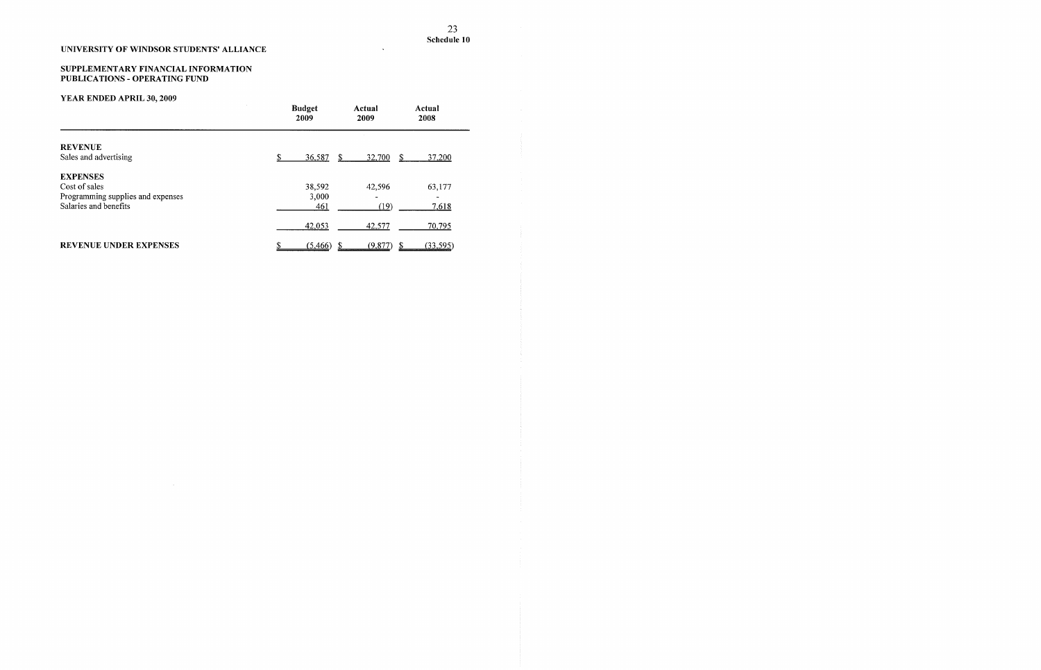### SUPPLEMENTARY FINANCIAL INFORMATION PUBLICATIONS - OPERATING FUND

# YEAR ENDED APRIL 30, 2009

 $\sim$ 

|                                                    | <b>Budget</b><br>2009 | Actual<br>2009 | Actual<br>2008   |
|----------------------------------------------------|-----------------------|----------------|------------------|
| <b>REVENUE</b><br>Sales and advertising            | 36,587<br>\$.         | 32,700<br>S    | -S<br>37,200     |
| <b>EXPENSES</b>                                    |                       |                |                  |
| Cost of sales<br>Programming supplies and expenses | 38,592<br>3,000       | 42,596         | 63,177           |
| Salaries and benefits                              | 461                   | (19)           | 7,618            |
|                                                    | 42,053                | 42,577         | 70,795           |
| <b>REVENUE UNDER EXPENSES</b>                      | (5,466)               | (9, 877)       | \$.<br>(33, 595) |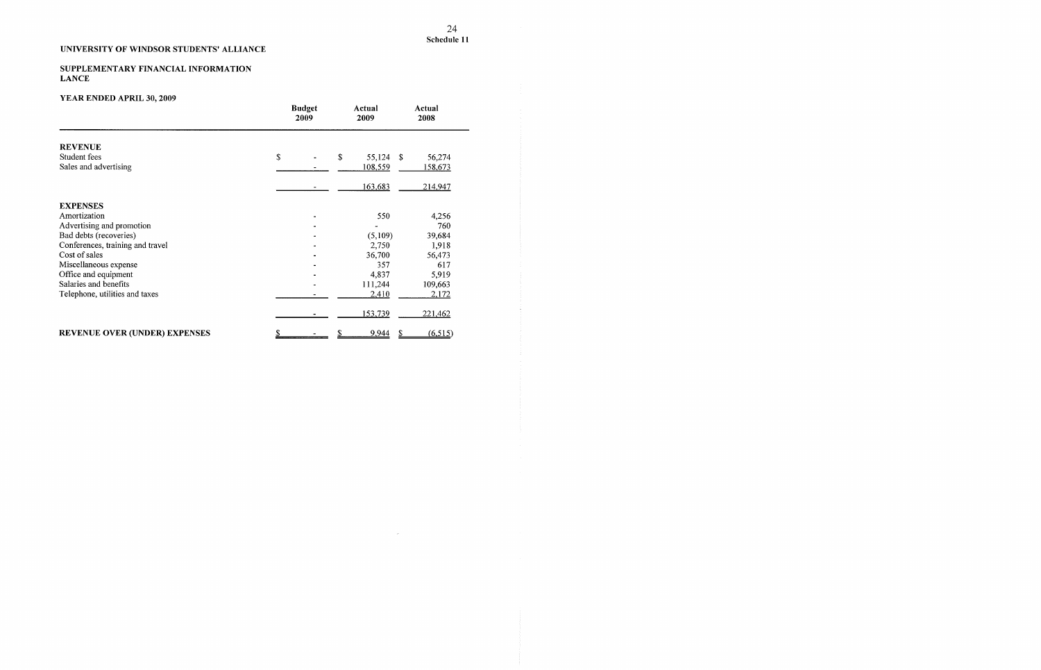### SUPPLEMENTARY FINANCIAL INFORMATION **LANCE**

# **YEAR ENDED APRIL 30, 2009**

 $\sim 10^{-11}$ 

|                                      | <b>Budget</b><br>2009 | Actual<br>2009 | Actual<br>2008 |
|--------------------------------------|-----------------------|----------------|----------------|
| <b>REVENUE</b>                       |                       |                |                |
| Student fees                         | \$                    | \$<br>55,124   | \$<br>56,274   |
| Sales and advertising                |                       | 108,559        | 158,673        |
|                                      |                       | 163,683        | 214,947        |
| <b>EXPENSES</b>                      |                       |                |                |
| Amortization                         |                       | 550            | 4,256          |
| Advertising and promotion            |                       |                | 760            |
| Bad debts (recoveries)               |                       | (5,109)        | 39,684         |
| Conferences, training and travel     |                       | 2,750          | 1,918          |
| Cost of sales                        |                       | 36,700         | 56,473         |
| Miscellaneous expense                |                       | 357            | 617            |
| Office and equipment                 |                       | 4,837          | 5,919          |
| Salaries and benefits                |                       | 111,244        | 109,663        |
| Telephone, utilities and taxes       |                       | 2,410          | 2,172          |
|                                      |                       | 153,739        | 221,462        |
| <b>REVENUE OVER (UNDER) EXPENSES</b> | \$                    | 9,944          | (6,515)<br>\$  |